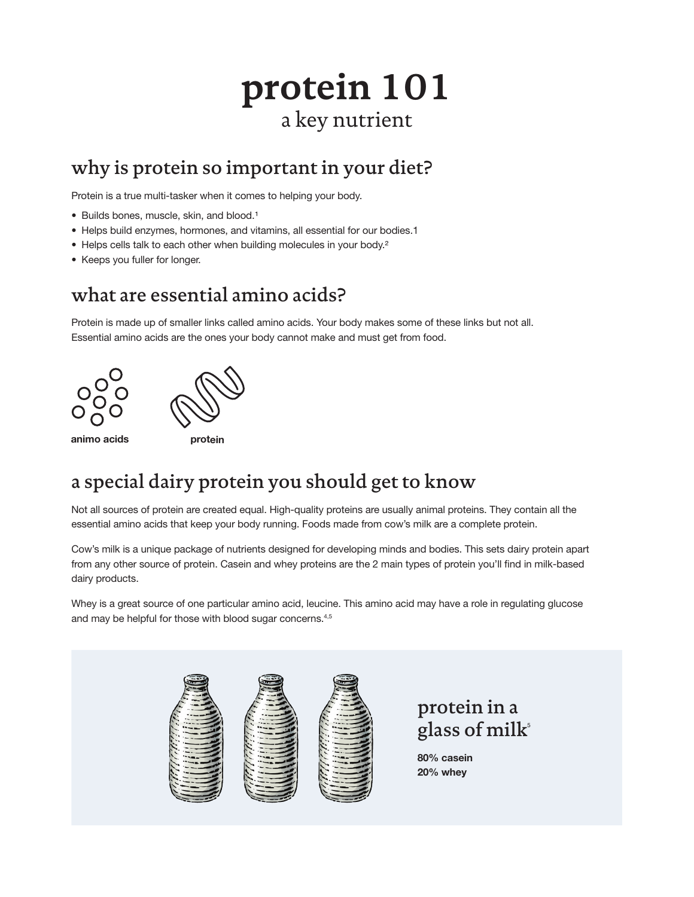# **protein 101** a key nutrient

### why is protein so important in your diet?

Protein is a true multi-tasker when it comes to helping your body.

- Builds bones, muscle, skin, and blood.<sup>1</sup>
- Helps build enzymes, hormones, and vitamins, all essential for our bodies.1
- Helps cells talk to each other when building molecules in your body.<sup>2</sup>
- Keeps you fuller for longer.

#### what are essential amino acids?

Protein is made up of smaller links called amino acids. Your body makes some of these links but not all. Essential amino acids are the ones your body cannot make and must get from food.



animo acids **protein** 

# a special dairy protein you should get to know

Not all sources of protein are created equal. High-quality proteins are usually animal proteins. They contain all the essential amino acids that keep your body running. Foods made from cow's milk are a complete protein.

Cow's milk is a unique package of nutrients designed for developing minds and bodies. This sets dairy protein apart from any other source of protein. Casein and whey proteins are the 2 main types of protein you'll find in milk-based dairy products.

Whey is a great source of one particular amino acid, leucine. This amino acid may have a role in regulating glucose and may be helpful for those with blood sugar concerns.<sup>4,5</sup>



protein in a glass of milk<sup>5</sup>

80% casein 20% whey